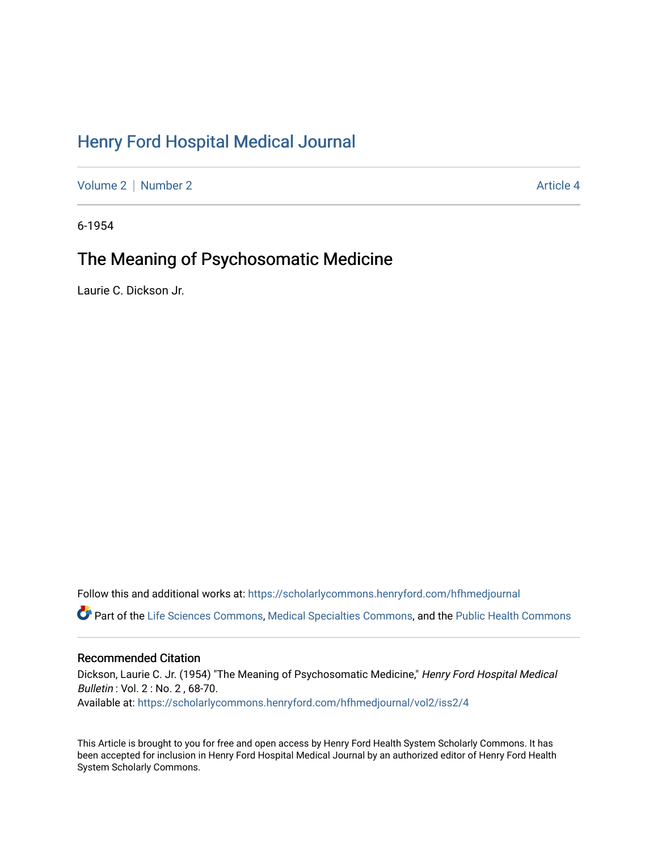# [Henry Ford Hospital Medical Journal](https://scholarlycommons.henryford.com/hfhmedjournal)

[Volume 2](https://scholarlycommons.henryford.com/hfhmedjournal/vol2) [Number 2](https://scholarlycommons.henryford.com/hfhmedjournal/vol2/iss2) Article 4

6-1954

# The Meaning of Psychosomatic Medicine

Laurie C. Dickson Jr.

Follow this and additional works at: [https://scholarlycommons.henryford.com/hfhmedjournal](https://scholarlycommons.henryford.com/hfhmedjournal?utm_source=scholarlycommons.henryford.com%2Fhfhmedjournal%2Fvol2%2Fiss2%2F4&utm_medium=PDF&utm_campaign=PDFCoverPages) Part of the [Life Sciences Commons,](http://network.bepress.com/hgg/discipline/1016?utm_source=scholarlycommons.henryford.com%2Fhfhmedjournal%2Fvol2%2Fiss2%2F4&utm_medium=PDF&utm_campaign=PDFCoverPages) [Medical Specialties Commons](http://network.bepress.com/hgg/discipline/680?utm_source=scholarlycommons.henryford.com%2Fhfhmedjournal%2Fvol2%2Fiss2%2F4&utm_medium=PDF&utm_campaign=PDFCoverPages), and the [Public Health Commons](http://network.bepress.com/hgg/discipline/738?utm_source=scholarlycommons.henryford.com%2Fhfhmedjournal%2Fvol2%2Fiss2%2F4&utm_medium=PDF&utm_campaign=PDFCoverPages) 

## Recommended Citation

Dickson, Laurie C. Jr. (1954) "The Meaning of Psychosomatic Medicine," Henry Ford Hospital Medical Bulletin : Vol. 2 : No. 2 , 68-70. Available at: [https://scholarlycommons.henryford.com/hfhmedjournal/vol2/iss2/4](https://scholarlycommons.henryford.com/hfhmedjournal/vol2/iss2/4?utm_source=scholarlycommons.henryford.com%2Fhfhmedjournal%2Fvol2%2Fiss2%2F4&utm_medium=PDF&utm_campaign=PDFCoverPages) 

This Article is brought to you for free and open access by Henry Ford Health System Scholarly Commons. It has been accepted for inclusion in Henry Ford Hospital Medical Journal by an authorized editor of Henry Ford Health System Scholarly Commons.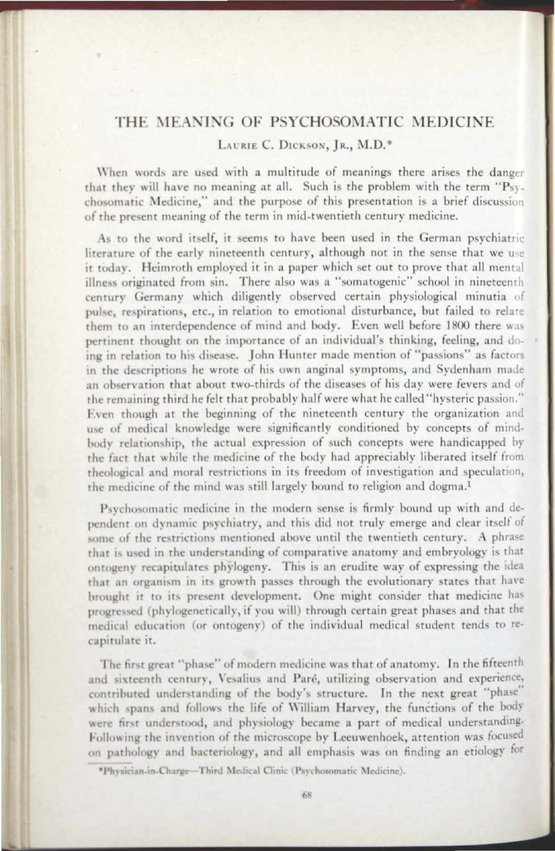### THE MEANING OF PSYCHOSOMATIC MEDICINE

### LAURIE C. DICKSON, IR., M.D.\*

When words are used with a multitude of meanings there arises the danger that they will have no meaning at all. Such is the problem with the term " $P_{SV-}$ chosomatic Medicine," and the purpose of this presentation is a brief discussion of the present meaning of the term in mid-twentieth century medicine.

As to the word itself, it seems to have been used in the German psychiatric literature of the early nineteenth century, although not in the sense that we use it today. Heimroth employed it in a paper which set out to prove that all mental illness originated from sin. There also was a "somatogenic" school in nineteenth century Germany which diligently observed certain physiological minutia of pulse, respirations, etc., in relation to emotional disturbance, but failed to relate them to an interdependence of mind and body. Even well before 1800 there was pertinent thought on the importance of an individual's thinking, feeling, and doing in relation to his disease. John Hunter made mention of "passions" as factors in the descriptions he wrote of his own anginal symptoms, and Sydenham made an observation that about two-thirds of the diseases of his day were fevers and of rhe remaining third he felr that probably half were what he called '"hysteric passion." Even though at the beginning of the nineteenth century the organization and use of medical knowledge were significantly conditioned by concepts of mindbody relationship, the actual expression of such concepts were handicapped by the fact that while the medicine of the body had appreciably liberated itself from theological and moral restrictions in its freedom of investigation and speculation, the medicine of the mind was still largely bound to religion and dogma.<sup>1</sup>

Psychosomatic medicine in the modern sense is firmly bound up with and dependent on dynamic psychiatry, and this did not truly emerge and clear itself of some of the restrictions mentioned above until the twentieth century. A phrase that is used in the understanding of comparative anatomy and embryology is that ontogeny recapitulates phylogeny. This is an erudite way of expressing the idea that an organism in its growth passes through the evolutionary states that have brought it to its present development. One might consider that medicine has progressed (phylogenetically, if you will) through certain great phases and that the medical education (or ontogeny) of the individual medical student tends to recapitulate it.

The first great "phase" of modern medicine was that of anatomy. In the fifteenth and sixteenth century, Vesalius and Paré, utilizing observation and experience, contributed understanding of the body's structure. In the next great "phase" which spans and follows the life of William Harvey, the functions of the body were first understood, and physiology became a part of medical understanding. Following the invention of the microscope by Leeuwenhoek, attention was focused on pathology and bacteriology, and all emphasis was on finding an etiology for

\*Physician.in-Charge-Third Medical Clinic (Psychosomatic Medicine).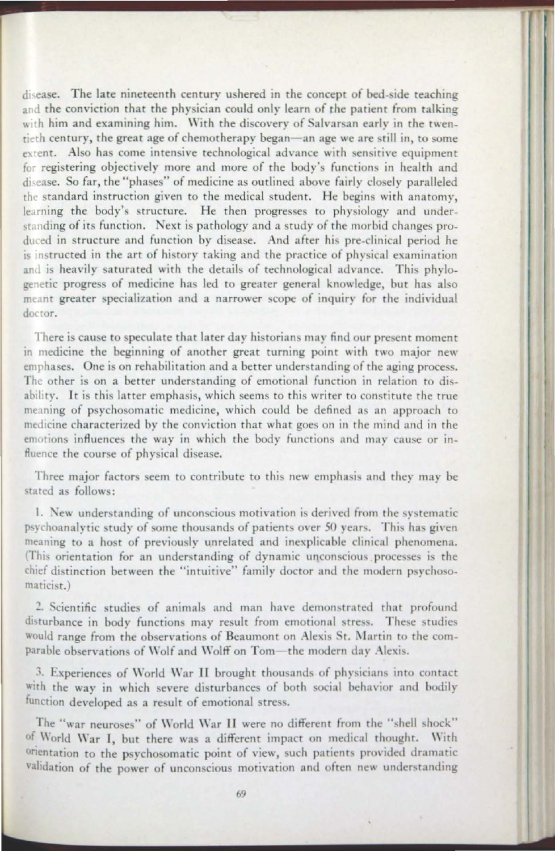disease. The late nineteenth century ushered in the concept of bed-side teaching and the conviction that the physician could only learn of the patient from talking with him and examining him. With the discovery of Salvarsan early in the twentieth century, the great age of chemotherapy began—an age we are still in, to some extent. Also has come intensive technological advance with sensitive equipment for registering objectively more and more of the body's functions in health and disease. So far, the "phases" of medicine as outlined above fairly closely paralleled rhe standard instruction given to the medical student. He begins with anatomy, learning the body's structure. He then progresses to physiology and understanding of its function. Next is pathology and a study of the morbid changes produced in structure and function by disease. And after his pre-clinical period he  $\frac{1}{10}$  is instructed in the art of history taking and the practice of physical examination and is heavily saturated with the details of technological advance. This phylogenetic progress of medicine has led to greater general knowledge, but has also meant greater specialization and a narrower scope of inquiry for the individual doctor.

There is cause to speculate that later day historians may find our present moment in medicine the beginning of another great turning point wirh rwo major new emphases. One is on rehabilitation and a better understanding of the aging process. The other is on a better understanding of emotional function in relation to disability. It is this latter emphasis, which seems to this writer to constitute the true meaning of psychosomatic medicine, which could be defined as an approach to medicine characterized by the conviction that what goes on in the mind and in the emotions influences the way in which the body functions and may cause or influence the course of physical disease.

Three major factors seem to contribute to this new emphasis and they may be stated as follows:

11 <sup>11</sup> ,,

1. New understanding of unconscious motivation is derived from the systematic psychoanalytic study of some thousands of patients over 50 years. This has given meaning to a host of previously unrelated and inexplicable clinical phenomena. (This orientation for an understanding of dynamic unconscious processes is the chief distinction between the "intuitive" family doctor and the modern psychosomaricist.)

2. Scientific studies of animals and man have demonstrated that profound disturbance in body functions may result from emotional stress. These studies would range from the observations of Beaumont on Alexis St. Martin to the comparable observations of Wolf and Wolff on Tom-the modern day Alexis.

3. Experiences of World War II brought thousands of physicians into contact with the way in which severe disturbances of both social behavior and bodily function developed as a result of emotional stress.

The "war neuroses" of World War II were no different from the "shell shock" of World War I, but there was a different impact on medical thought. With orientation to the psychosomatic point of view, such patients provided dramatic validation of the power of unconscious motivation and often new understanding

......